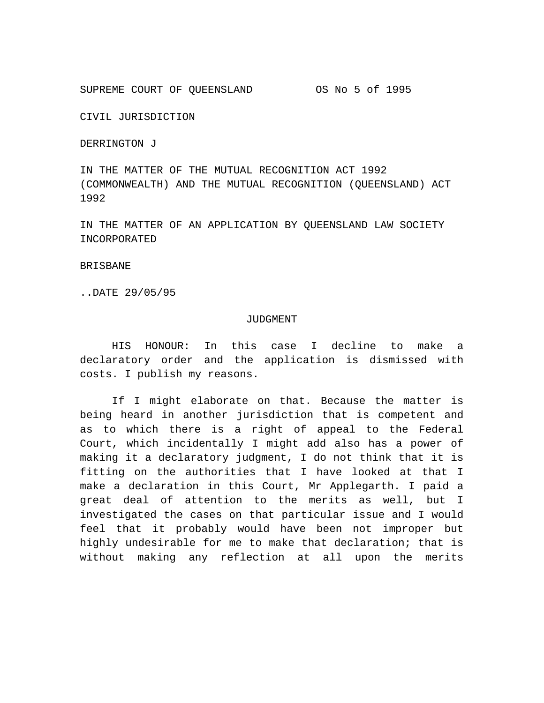SUPREME COURT OF QUEENSLAND OS No 5 of 1995

CIVIL JURISDICTION

DERRINGTON J

IN THE MATTER OF THE MUTUAL RECOGNITION ACT 1992 (COMMONWEALTH) AND THE MUTUAL RECOGNITION (QUEENSLAND) ACT 1992

IN THE MATTER OF AN APPLICATION BY QUEENSLAND LAW SOCIETY INCORPORATED

### BRISBANE

..DATE 29/05/95

### JUDGMENT

HIS HONOUR: In this case I decline to make a declaratory order and the application is dismissed with costs. I publish my reasons.

If I might elaborate on that. Because the matter is being heard in another jurisdiction that is competent and as to which there is a right of appeal to the Federal Court, which incidentally I might add also has a power of making it a declaratory judgment, I do not think that it is fitting on the authorities that I have looked at that I make a declaration in this Court, Mr Applegarth. I paid a great deal of attention to the merits as well, but I investigated the cases on that particular issue and I would feel that it probably would have been not improper but highly undesirable for me to make that declaration; that is without making any reflection at all upon the merits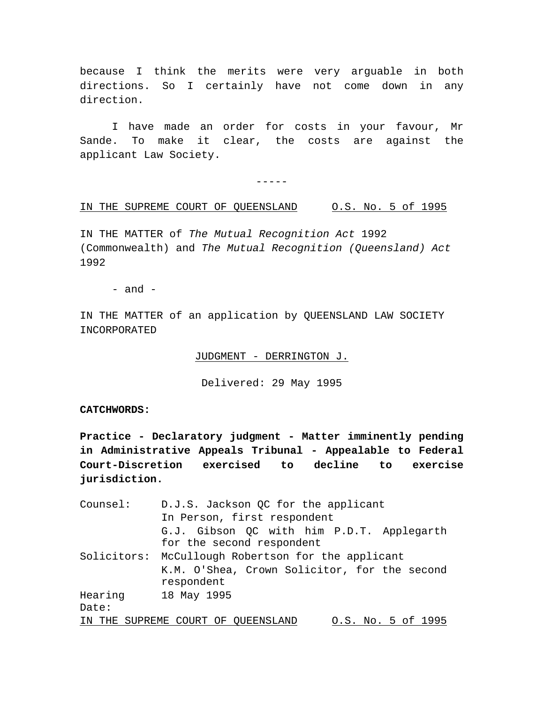because I think the merits were very arguable in both directions. So I certainly have not come down in any direction.

I have made an order for costs in your favour, Mr Sande. To make it clear, the costs are against the applicant Law Society.

-----

## IN THE SUPREME COURT OF QUEENSLAND O.S. No. 5 of 1995

IN THE MATTER of *The Mutual Recognition Act* 1992 (Commonwealth) and *The Mutual Recognition (Queensland) Act* 1992

 $-$  and  $-$ 

IN THE MATTER of an application by QUEENSLAND LAW SOCIETY INCORPORATED

JUDGMENT - DERRINGTON J.

Delivered: 29 May 1995

## **CATCHWORDS:**

**Practice - Declaratory judgment - Matter imminently pending in Administrative Appeals Tribunal - Appealable to Federal Court-Discretion exercised to decline to exercise jurisdiction.**

| Counsel:  | D.J.S. Jackson QC for the applicant                |
|-----------|----------------------------------------------------|
|           | In Person, first respondent                        |
|           | G.J. Gibson QC with him P.D.T. Applegarth          |
|           | for the second respondent                          |
|           | Solicitors: McCullough Robertson for the applicant |
|           | K.M. O'Shea, Crown Solicitor, for the second       |
|           | respondent                                         |
| Hearing   | 18 May 1995                                        |
| Date:     |                                                    |
| THE<br>TN | 0.S. No. 5 of 1995<br>SUPREME COURT OF OUEENSLAND  |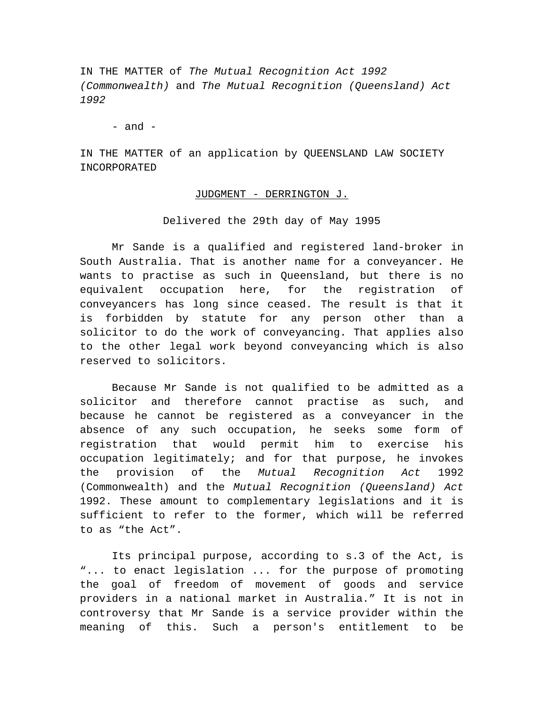IN THE MATTER of *The Mutual Recognition Act 1992 (Commonwealth)* and *The Mutual Recognition (Queensland) Act 1992*

 $-$  and  $-$ 

IN THE MATTER of an application by QUEENSLAND LAW SOCIETY INCORPORATED

## JUDGMENT - DERRINGTON J.

Delivered the 29th day of May 1995

Mr Sande is a qualified and registered land-broker in South Australia. That is another name for a conveyancer. He wants to practise as such in Queensland, but there is no equivalent occupation here, for the registration of conveyancers has long since ceased. The result is that it is forbidden by statute for any person other than a solicitor to do the work of conveyancing. That applies also to the other legal work beyond conveyancing which is also reserved to solicitors.

Because Mr Sande is not qualified to be admitted as a solicitor and therefore cannot practise as such, and because he cannot be registered as a conveyancer in the absence of any such occupation, he seeks some form of registration that would permit him to exercise his occupation legitimately; and for that purpose, he invokes the provision of the *Mutual Recognition Act* 1992 (Commonwealth) and the *Mutual Recognition (Queensland) Act* 1992. These amount to complementary legislations and it is sufficient to refer to the former, which will be referred to as "the Act".

Its principal purpose, according to s.3 of the Act, is "... to enact legislation ... for the purpose of promoting the goal of freedom of movement of goods and service providers in a national market in Australia." It is not in controversy that Mr Sande is a service provider within the meaning of this. Such a person's entitlement to be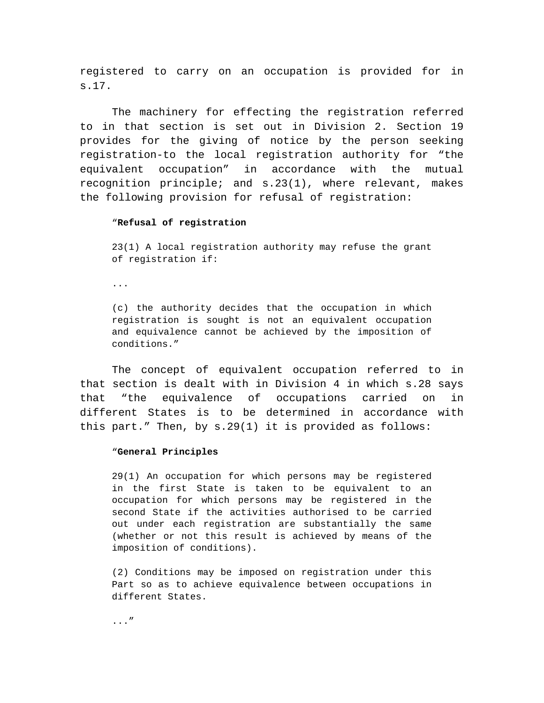registered to carry on an occupation is provided for in s.17.

The machinery for effecting the registration referred to in that section is set out in Division 2. Section 19 provides for the giving of notice by the person seeking registration-to the local registration authority for "the equivalent occupation" in accordance with the mutual recognition principle; and s.23(1), where relevant, makes the following provision for refusal of registration:

#### "**Refusal of registration**

23(1) A local registration authority may refuse the grant of registration if:

...

(c) the authority decides that the occupation in which registration is sought is not an equivalent occupation and equivalence cannot be achieved by the imposition of conditions."

The concept of equivalent occupation referred to in that section is dealt with in Division 4 in which s.28 says that "the equivalence of occupations carried on in different States is to be determined in accordance with this part." Then, by s.29(1) it is provided as follows:

### "**General Principles**

29(1) An occupation for which persons may be registered in the first State is taken to be equivalent to an occupation for which persons may be registered in the second State if the activities authorised to be carried out under each registration are substantially the same (whether or not this result is achieved by means of the imposition of conditions).

(2) Conditions may be imposed on registration under this Part so as to achieve equivalence between occupations in different States.

..."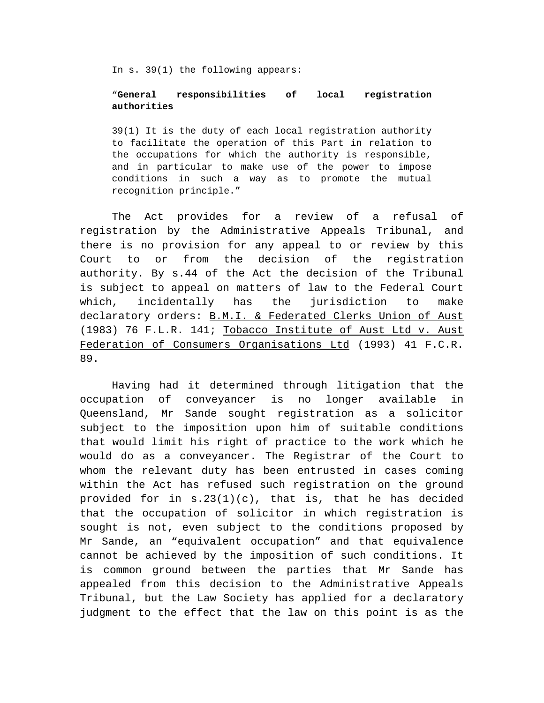In s. 39(1) the following appears:

# "**General responsibilities of local registration authorities**

39(1) It is the duty of each local registration authority to facilitate the operation of this Part in relation to the occupations for which the authority is responsible, and in particular to make use of the power to impose conditions in such a way as to promote the mutual recognition principle."

The Act provides for a review of a refusal of registration by the Administrative Appeals Tribunal, and there is no provision for any appeal to or review by this Court to or from the decision of the registration authority. By s.44 of the Act the decision of the Tribunal is subject to appeal on matters of law to the Federal Court which, incidentally has the jurisdiction to make declaratory orders: B.M.I. & Federated Clerks Union of Aust (1983) 76 F.L.R. 141; Tobacco Institute of Aust Ltd v. Aust Federation of Consumers Organisations Ltd (1993) 41 F.C.R. 89.

Having had it determined through litigation that the occupation of conveyancer is no longer available in Queensland, Mr Sande sought registration as a solicitor subject to the imposition upon him of suitable conditions that would limit his right of practice to the work which he would do as a conveyancer. The Registrar of the Court to whom the relevant duty has been entrusted in cases coming within the Act has refused such registration on the ground provided for in  $s.23(1)(c)$ , that is, that he has decided that the occupation of solicitor in which registration is sought is not, even subject to the conditions proposed by Mr Sande, an "equivalent occupation" and that equivalence cannot be achieved by the imposition of such conditions. It is common ground between the parties that Mr Sande has appealed from this decision to the Administrative Appeals Tribunal, but the Law Society has applied for a declaratory judgment to the effect that the law on this point is as the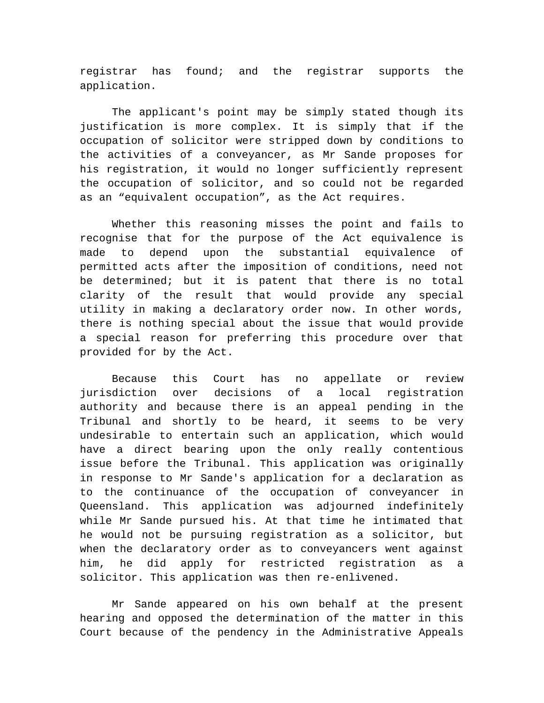registrar has found; and the registrar supports the application.

The applicant's point may be simply stated though its justification is more complex. It is simply that if the occupation of solicitor were stripped down by conditions to the activities of a conveyancer, as Mr Sande proposes for his registration, it would no longer sufficiently represent the occupation of solicitor, and so could not be regarded as an "equivalent occupation", as the Act requires.

Whether this reasoning misses the point and fails to recognise that for the purpose of the Act equivalence is made to depend upon the substantial equivalence of permitted acts after the imposition of conditions, need not be determined; but it is patent that there is no total clarity of the result that would provide any special utility in making a declaratory order now. In other words, there is nothing special about the issue that would provide a special reason for preferring this procedure over that provided for by the Act.

Because this Court has no appellate or review jurisdiction over decisions of a local registration authority and because there is an appeal pending in the Tribunal and shortly to be heard, it seems to be very undesirable to entertain such an application, which would have a direct bearing upon the only really contentious issue before the Tribunal. This application was originally in response to Mr Sande's application for a declaration as to the continuance of the occupation of conveyancer in Queensland. This application was adjourned indefinitely while Mr Sande pursued his. At that time he intimated that he would not be pursuing registration as a solicitor, but when the declaratory order as to conveyancers went against him, he did apply for restricted registration as a solicitor. This application was then re-enlivened.

Mr Sande appeared on his own behalf at the present hearing and opposed the determination of the matter in this Court because of the pendency in the Administrative Appeals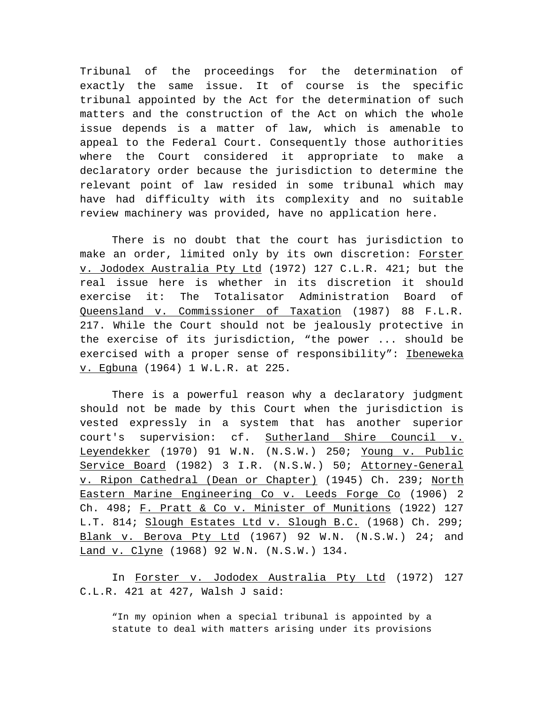Tribunal of the proceedings for the determination of exactly the same issue. It of course is the specific tribunal appointed by the Act for the determination of such matters and the construction of the Act on which the whole issue depends is a matter of law, which is amenable to appeal to the Federal Court. Consequently those authorities where the Court considered it appropriate to make a declaratory order because the jurisdiction to determine the relevant point of law resided in some tribunal which may have had difficulty with its complexity and no suitable review machinery was provided, have no application here.

There is no doubt that the court has jurisdiction to make an order, limited only by its own discretion: Forster v. Jododex Australia Pty Ltd (1972) 127 C.L.R. 421; but the real issue here is whether in its discretion it should exercise it: The Totalisator Administration Board of Queensland v. Commissioner of Taxation (1987) 88 F.L.R. 217. While the Court should not be jealously protective in the exercise of its jurisdiction, "the power ... should be exercised with a proper sense of responsibility": Ibeneweka v. Egbuna (1964) 1 W.L.R. at 225.

There is a powerful reason why a declaratory judgment should not be made by this Court when the jurisdiction is vested expressly in a system that has another superior court's supervision: cf. Sutherland Shire Council v. Leyendekker (1970) 91 W.N. (N.S.W.) 250; Young v. Public Service Board (1982) 3 I.R. (N.S.W.) 50; Attorney-General v. Ripon Cathedral (Dean or Chapter) (1945) Ch. 239; North Eastern Marine Engineering Co v. Leeds Forge Co (1906) 2 Ch. 498; F. Pratt & Co v. Minister of Munitions (1922) 127 L.T. 814; Slough Estates Ltd v. Slough B.C. (1968) Ch. 299; Blank v. Berova Pty Ltd (1967) 92 W.N. (N.S.W.) 24; and Land v. Clyne (1968) 92 W.N. (N.S.W.) 134.

In Forster v. Jododex Australia Pty Ltd (1972) 127 C.L.R. 421 at 427, Walsh J said:

"In my opinion when a special tribunal is appointed by a statute to deal with matters arising under its provisions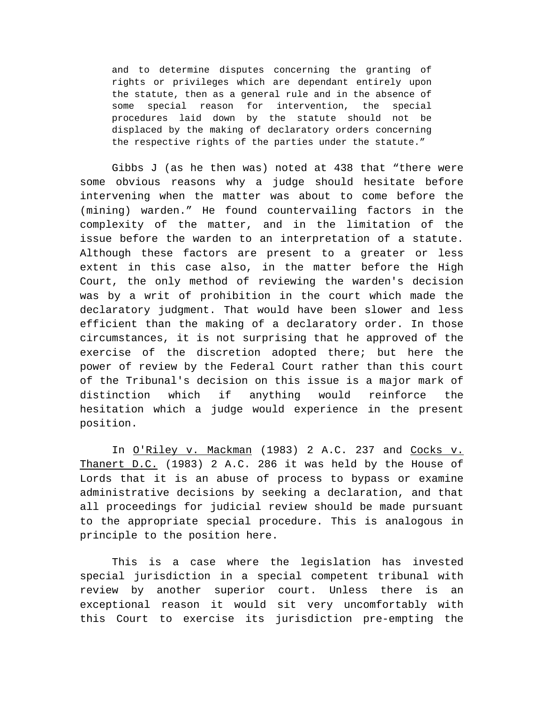and to determine disputes concerning the granting of rights or privileges which are dependant entirely upon the statute, then as a general rule and in the absence of some special reason for intervention, the special procedures laid down by the statute should not be displaced by the making of declaratory orders concerning the respective rights of the parties under the statute."

Gibbs J (as he then was) noted at 438 that "there were some obvious reasons why a judge should hesitate before intervening when the matter was about to come before the (mining) warden." He found countervailing factors in the complexity of the matter, and in the limitation of the issue before the warden to an interpretation of a statute. Although these factors are present to a greater or less extent in this case also, in the matter before the High Court, the only method of reviewing the warden's decision was by a writ of prohibition in the court which made the declaratory judgment. That would have been slower and less efficient than the making of a declaratory order. In those circumstances, it is not surprising that he approved of the exercise of the discretion adopted there; but here the power of review by the Federal Court rather than this court of the Tribunal's decision on this issue is a major mark of distinction which if anything would reinforce the hesitation which a judge would experience in the present position.

In O'Riley v. Mackman (1983) 2 A.C. 237 and Cocks v. Thanert D.C. (1983) 2 A.C. 286 it was held by the House of Lords that it is an abuse of process to bypass or examine administrative decisions by seeking a declaration, and that all proceedings for judicial review should be made pursuant to the appropriate special procedure. This is analogous in principle to the position here.

This is a case where the legislation has invested special jurisdiction in a special competent tribunal with review by another superior court. Unless there is an exceptional reason it would sit very uncomfortably with this Court to exercise its jurisdiction pre-empting the